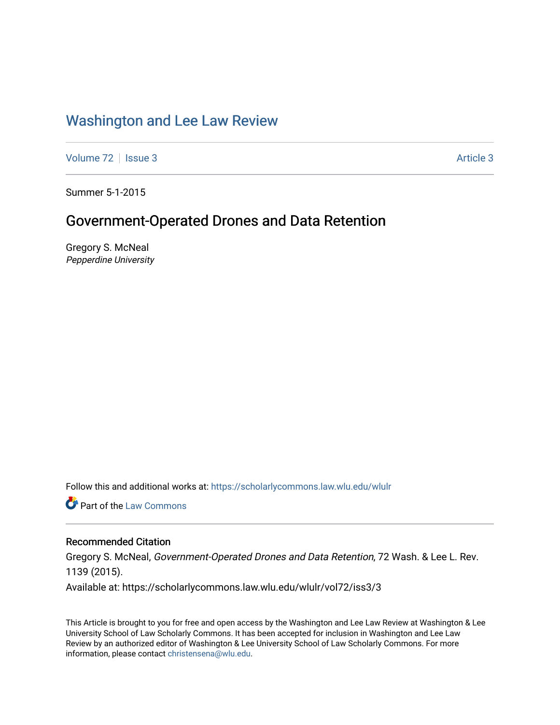# [Washington and Lee Law Review](https://scholarlycommons.law.wlu.edu/wlulr)

[Volume 72](https://scholarlycommons.law.wlu.edu/wlulr/vol72) | [Issue 3](https://scholarlycommons.law.wlu.edu/wlulr/vol72/iss3) Article 3

Summer 5-1-2015

# Government-Operated Drones and Data Retention

Gregory S. McNeal Pepperdine University

Follow this and additional works at: [https://scholarlycommons.law.wlu.edu/wlulr](https://scholarlycommons.law.wlu.edu/wlulr?utm_source=scholarlycommons.law.wlu.edu%2Fwlulr%2Fvol72%2Fiss3%2F3&utm_medium=PDF&utm_campaign=PDFCoverPages) 

Part of the [Law Commons](http://network.bepress.com/hgg/discipline/578?utm_source=scholarlycommons.law.wlu.edu%2Fwlulr%2Fvol72%2Fiss3%2F3&utm_medium=PDF&utm_campaign=PDFCoverPages)

## Recommended Citation

Gregory S. McNeal, Government-Operated Drones and Data Retention, 72 Wash. & Lee L. Rev. 1139 (2015).

Available at: https://scholarlycommons.law.wlu.edu/wlulr/vol72/iss3/3

This Article is brought to you for free and open access by the Washington and Lee Law Review at Washington & Lee University School of Law Scholarly Commons. It has been accepted for inclusion in Washington and Lee Law Review by an authorized editor of Washington & Lee University School of Law Scholarly Commons. For more information, please contact [christensena@wlu.edu](mailto:christensena@wlu.edu).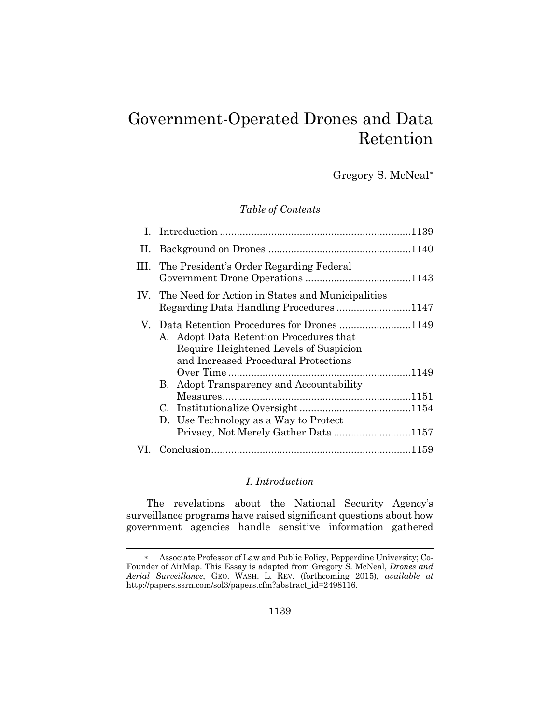# Government-Operated Drones and Data Retention

Gregory S. McNeal[∗](#page-1-0)

## *Table of Contents*

|     | III. The President's Order Regarding Federal                                                                              |  |
|-----|---------------------------------------------------------------------------------------------------------------------------|--|
|     | IV. The Need for Action in States and Municipalities<br>Regarding Data Handling Procedures1147                            |  |
|     | A. Adopt Data Retention Procedures that<br>Require Heightened Levels of Suspicion<br>and Increased Procedural Protections |  |
|     |                                                                                                                           |  |
|     | B. Adopt Transparency and Accountability                                                                                  |  |
|     |                                                                                                                           |  |
|     | D. Use Technology as a Way to Protect                                                                                     |  |
|     | Privacy, Not Merely Gather Data 1157                                                                                      |  |
| VL. |                                                                                                                           |  |

#### *I. Introduction*

The revelations about the National Security Agency's surveillance programs have raised significant questions about how government agencies handle sensitive information gathered

l

<span id="page-1-0"></span><sup>∗</sup> Associate Professor of Law and Public Policy, Pepperdine University; Co-Founder of AirMap. This Essay is adapted from Gregory S. McNeal, *Drones and Aerial Surveillance*, GEO. WASH. L. REV. (forthcoming 2015), *available at* http://papers.ssrn.com/sol3/papers.cfm?abstract\_id=2498116.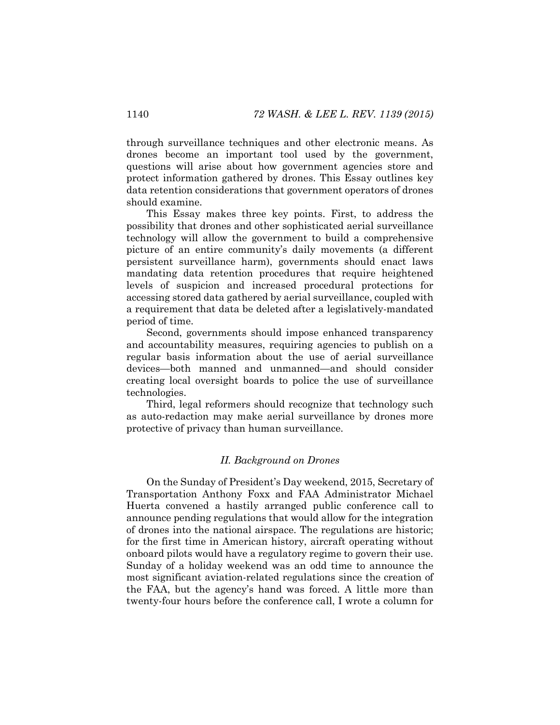through surveillance techniques and other electronic means. As drones become an important tool used by the government, questions will arise about how government agencies store and protect information gathered by drones. This Essay outlines key data retention considerations that government operators of drones should examine.

This Essay makes three key points. First, to address the possibility that drones and other sophisticated aerial surveillance technology will allow the government to build a comprehensive picture of an entire community's daily movements (a different persistent surveillance harm), governments should enact laws mandating data retention procedures that require heightened levels of suspicion and increased procedural protections for accessing stored data gathered by aerial surveillance, coupled with a requirement that data be deleted after a legislatively-mandated period of time.

Second, governments should impose enhanced transparency and accountability measures, requiring agencies to publish on a regular basis information about the use of aerial surveillance devices—both manned and unmanned—and should consider creating local oversight boards to police the use of surveillance technologies.

Third, legal reformers should recognize that technology such as auto-redaction may make aerial surveillance by drones more protective of privacy than human surveillance.

#### *II. Background on Drones*

On the Sunday of President's Day weekend, 2015, Secretary of Transportation Anthony Foxx and FAA Administrator Michael Huerta convened a hastily arranged public conference call to announce pending regulations that would allow for the integration of drones into the national airspace. The regulations are historic; for the first time in American history, aircraft operating without onboard pilots would have a regulatory regime to govern their use. Sunday of a holiday weekend was an odd time to announce the most significant aviation-related regulations since the creation of the FAA, but the agency's hand was forced. A little more than twenty-four hours before the conference call, I wrote a column for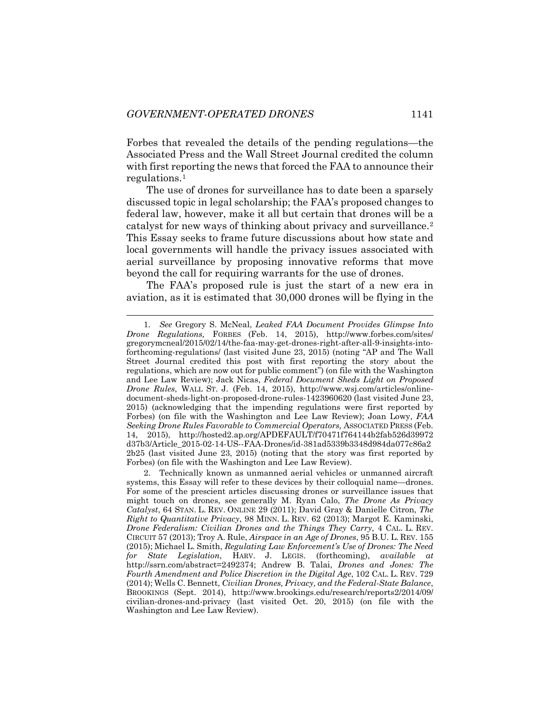Forbes that revealed the details of the pending regulations—the Associated Press and the Wall Street Journal credited the column with first reporting the news that forced the FAA to announce their regulations[.1](#page-3-0)

The use of drones for surveillance has to date been a sparsely discussed topic in legal scholarship; the FAA's proposed changes to federal law, however, make it all but certain that drones will be a catalyst for new ways of thinking about privacy and surveillance.[2](#page-3-1) This Essay seeks to frame future discussions about how state and local governments will handle the privacy issues associated with aerial surveillance by proposing innovative reforms that move beyond the call for requiring warrants for the use of drones.

The FAA's proposed rule is just the start of a new era in aviation, as it is estimated that 30,000 drones will be flying in the

<span id="page-3-0"></span> <sup>1</sup>*. See* Gregory S. McNeal, *Leaked FAA Document Provides Glimpse Into Drone Regulations,* FORBES (Feb. 14, 2015), http://www.forbes.com/sites/ gregorymcneal/2015/02/14/the-faa-may-get-drones-right-after-all-9-insights-intoforthcoming-regulations/ (last visited June 23, 2015) (noting "AP and The Wall Street Journal credited this post with first reporting the story about the regulations, which are now out for public comment") (on file with the Washington and Lee Law Review); Jack Nicas, *Federal Document Sheds Light on Proposed Drone Rules*, WALL ST. J. (Feb. 14, 2015), http://www.wsj.com/articles/onlinedocument-sheds-light-on-proposed-drone-rules-1423960620 (last visited June 23, 2015) (acknowledging that the impending regulations were first reported by Forbes) (on file with the Washington and Lee Law Review); Joan Lowy, *FAA Seeking Drone Rules Favorable to Commercial Operators,* ASSOCIATED PRESS (Feb. 14, 2015), http://hosted2.ap.org/APDEFAULT/f70471f764144b2fab526d39972 d37b3/Article\_2015-02-14-US--FAA-Drones/id-381ad5339b3348d984da077c86a2 2b25 (last visited June 23, 2015) (noting that the story was first reported by Forbes) (on file with the Washington and Lee Law Review).

<span id="page-3-1"></span><sup>2.</sup> Technically known as unmanned aerial vehicles or unmanned aircraft systems, this Essay will refer to these devices by their colloquial name—drones. For some of the prescient articles discussing drones or surveillance issues that might touch on drones, see generally M. Ryan Calo, *The Drone As Privacy Catalyst*, 64 STAN. L. REV. ONLINE 29 (2011); David Gray & Danielle Citron, *The Right to Quantitative Privacy*, 98 MINN. L. REV. 62 (2013); Margot E. Kaminski, *Drone Federalism: Civilian Drones and the Things They Carry*, 4 CAL. L. REV. CIRCUIT 57 (2013); Troy A. Rule, *Airspace in an Age of Drones*, 95 B.U. L. REV. 155 (2015); Michael L. Smith, *Regulating Law Enforcement's Use of Drones: The Need for State Legislation*, HARV. J. LEGIS. (forthcoming), *available at* http://ssrn.com/abstract=2492374; Andrew B. Talai, *Drones and Jones: The Fourth Amendment and Police Discretion in the Digital Age*, 102 CAL. L. REV. 729 (2014); Wells C. Bennett, *Civilian Drones, Privacy, and the Federal-State Balance*, BROOKINGS (Sept. 2014), http://www.brookings.edu/research/reports2/2014/09/ civilian-drones-and-privacy (last visited Oct. 20, 2015) (on file with the Washington and Lee Law Review).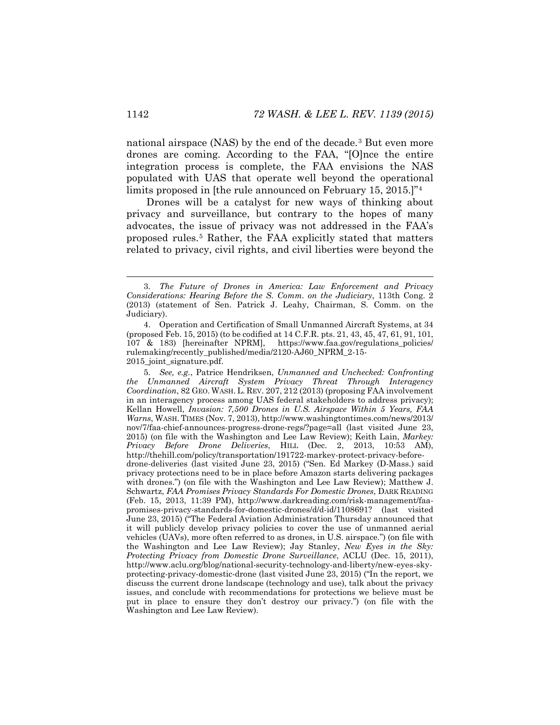national airspace (NAS) by the end of the decade.[3](#page-4-0) But even more drones are coming. According to the FAA, "[O]nce the entire integration process is complete, the FAA envisions the NAS populated with UAS that operate well beyond the operational limits proposed in [the rule announced on February 15, 2015.]<sup>7[4](#page-4-1)</sup>

<span id="page-4-3"></span>Drones will be a catalyst for new ways of thinking about privacy and surveillance, but contrary to the hopes of many advocates, the issue of privacy was not addressed in the FAA's proposed rules.[5](#page-4-2) Rather, the FAA explicitly stated that matters related to privacy, civil rights, and civil liberties were beyond the

<span id="page-4-0"></span> <sup>3</sup>*. The Future of Drones in America: Law Enforcement and Privacy Considerations: Hearing Before the S. Comm. on the Judiciary*, 113th Cong. 2 (2013) (statement of Sen. Patrick J. Leahy, Chairman, S. Comm. on the Judiciary).

<span id="page-4-1"></span><sup>4.</sup> Operation and Certification of Small Unmanned Aircraft Systems, at 34 (proposed Feb. 15, 2015) (to be codified at 14 C.F.R. pts. 21, 43, 45, 47, 61, 91, 101, 107 & 183) [hereinafter NPRM], https://www.faa.gov/regulations\_policies/ rulemaking/recently\_published/media/2120-AJ60\_NPRM\_2-15- 2015\_joint\_signature.pdf.

<span id="page-4-2"></span><sup>5</sup>*. See, e.g.*, Patrice Hendriksen, *Unmanned and Unchecked: Confronting the Unmanned Aircraft System Privacy Threat Through Interagency Coordination*, 82 GEO. WASH. L. REV. 207, 212 (2013) (proposing FAA involvement in an interagency process among UAS federal stakeholders to address privacy); Kellan Howell, *Invasion: 7,500 Drones in U.S. Airspace Within 5 Years, FAA Warns*, WASH. TIMES (Nov. 7, 2013), http://www.washingtontimes.com/news/2013/ nov/7/faa-chief-announces-progress-drone-regs/?page=all (last visited June 23, 2015) (on file with the Washington and Lee Law Review); [Keith Lain,](http://thehill.com/author/keith-laing) *Markey: Privacy Before Drone Deliveries*, HILL (Dec. 2, 2013, 10:53 AM), http://thehill.com/policy/transportation/191722-markey-protect-privacy-beforedrone-deliveries (last visited June 23, 2015) ("Sen. Ed Markey (D-Mass.) said privacy protections need to be in place before Amazon starts delivering packages with drones.") (on file with the Washington and Lee Law Review); Matthew J. Schwartz, *FAA Promises Privacy Standards For Domestic Drones*, DARK READING (Feb. 15, 2013, 11:39 PM), http://www.darkreading.com/risk-management/faapromises-privacy-standards-for-domestic-drones/d/d-id/1108691? (last visited June 23, 2015) ("The Federal Aviation Administration Thursday announced that it will publicly develop privacy policies to cover the use of unmanned aerial vehicles (UAVs), more often referred to as drones, in U.S. airspace.") (on file with the Washington and Lee Law Review); Jay Stanley, *New Eyes in the Sky: Protecting Privacy from Domestic Drone Surveillance*, ACLU (Dec. 15, 2011), http://www.aclu.org/blog/national-security-technology-and-liberty/new-eyes-skyprotecting-privacy-domestic-drone (last visited June 23, 2015) ("In the report, we discuss the current drone landscape (technology and use), talk about the privacy issues, and conclude with recommendations for protections we believe must be put in place to ensure they don't destroy our privacy.") (on file with the Washington and Lee Law Review).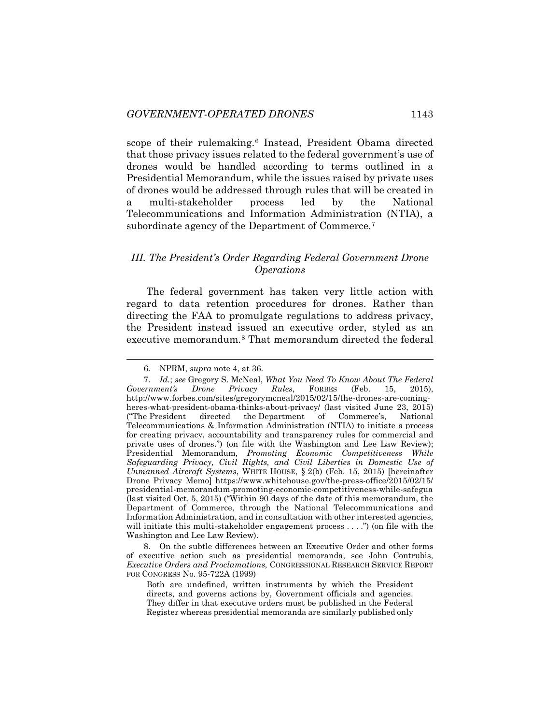scope of their rulemaking.<sup>[6](#page-5-0)</sup> Instead, President Obama directed that those privacy issues related to the federal government's use of drones would be handled according to terms outlined in a Presidential Memorandum, while the issues raised by private uses of drones would be addressed through rules that will be created in a multi-stakeholder process led by the National Telecommunications and Information Administration (NTIA), a subordinate agency of the Department of Commerce.<sup>[7](#page-5-1)</sup>

#### <span id="page-5-3"></span>*III. The President's Order Regarding Federal Government Drone Operations*

The federal government has taken very little action with regard to data retention procedures for drones. Rather than directing the FAA to promulgate regulations to address privacy, the President instead issued an executive order, styled as an executive memorandum.<sup>[8](#page-5-2)</sup> That memorandum directed the federal

<span id="page-5-2"></span>8. On the subtle differences between an Executive Order and other forms of executive action such as presidential memoranda, see John Contrubis, *Executive Orders and Proclamations,* CONGRESSIONAL RESEARCH SERVICE REPORT FOR CONGRESS No. 95-722A (1999)

Both are undefined, written instruments by which the President directs, and governs actions by, Government officials and agencies. They differ in that executive orders must be published in the Federal Register whereas presidential memoranda are similarly published only

 <sup>6</sup>*.* NPRM, *supra* note [4,](#page-4-3) at 36.

<span id="page-5-1"></span><span id="page-5-0"></span><sup>7</sup>*. Id.*; *see* Gregory S. McNeal, *What You Need To Know About The Federal Government's Drone Privacy Rules*, FORBES (Feb. 15, 2015), http://www.forbes.com/sites/gregorymcneal/2015/02/15/the-drones-are-comingheres-what-president-obama-thinks-about-privacy/ (last visited June 23, 2015) ("The President directed the Department of Commerce's, National Telecommunications & Information Administration (NTIA) to initiate a process for creating privacy, accountability and transparency rules for commercial and private uses of drones.") (on file with the Washington and Lee Law Review); Presidential Memorandum*, Promoting Economic Competitiveness While Safeguarding Privacy, Civil Rights, and Civil Liberties in Domestic Use of Unmanned Aircraft Systems*, WHITE HOUSE, § 2(b) (Feb. 15, 2015) [hereinafter Drone Privacy Memo] https://www.whitehouse.gov/the-press-office/2015/02/15/ presidential-memorandum-promoting-economic-competitiveness-while-safegua (last visited Oct. 5, 2015) ("Within 90 days of the date of this memorandum, the Department of Commerce, through the National Telecommunications and Information Administration, and in consultation with other interested agencies, will initiate this multi-stakeholder engagement process . . .") (on file with the Washington and Lee Law Review).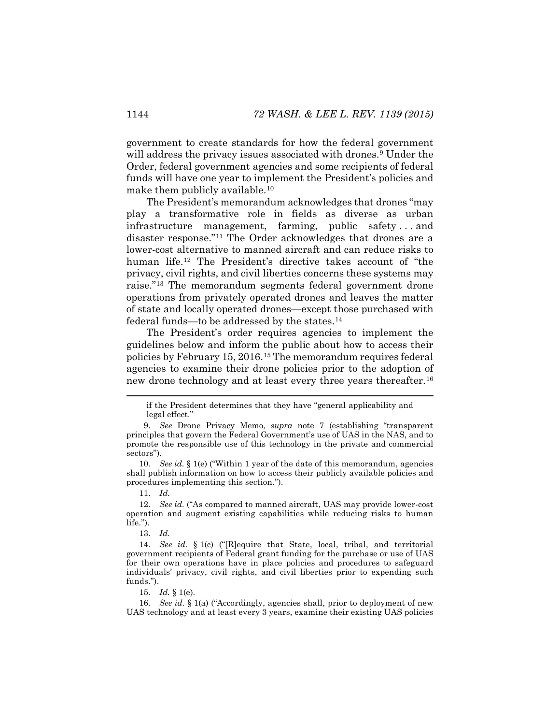government to create standards for how the federal government will address the privacy issues associated with drones.<sup>[9](#page-6-0)</sup> Under the Order, federal government agencies and some recipients of federal funds will have one year to implement the President's policies and make them publicly available.<sup>[10](#page-6-1)</sup>

The President's memorandum acknowledges that drones "may play a transformative role in fields as diverse as urban infrastructure management, farming, public safety . . . and disaster response."[11](#page-6-2) The Order acknowledges that drones are a lower-cost alternative to manned aircraft and can reduce risks to human life.[12](#page-6-3) The President's directive takes account of "the privacy, civil rights, and civil liberties concerns these systems may raise."[13](#page-6-4) The memorandum segments federal government drone operations from privately operated drones and leaves the matter of state and locally operated drones—except those purchased with federal funds—to be addressed by the states[.14](#page-6-5)

The President's order requires agencies to implement the guidelines below and inform the public about how to access their policies by February 15, 2016.[15](#page-6-6) The memorandum requires federal agencies to examine their drone policies prior to the adoption of new drone technology and at least every three years thereafter.[16](#page-6-7)

11. *Id.*

<span id="page-6-3"></span><span id="page-6-2"></span>12*. See id.* ("As compared to manned aircraft, UAS may provide lower-cost operation and augment existing capabilities while reducing risks to human life.").

13. *Id.*

<span id="page-6-5"></span><span id="page-6-4"></span>14*. See id.* § 1(c) ("[R]equire that State, local, tribal, and territorial government recipients of Federal grant funding for the purchase or use of UAS for their own operations have in place policies and procedures to safeguard individuals' privacy, civil rights, and civil liberties prior to expending such funds.").

15*. Id.* § 1(e).

<span id="page-6-7"></span><span id="page-6-6"></span>16*. See id.* § 1(a) ("Accordingly, agencies shall, prior to deployment of new UAS technology and at least every 3 years, examine their existing UAS policies

if the President determines that they have "general applicability and legal effect."

<span id="page-6-0"></span><sup>9.</sup> *See* Drone Privacy Memo, *supra* note [7](#page-5-3) (establishing "transparent principles that govern the Federal Government's use of UAS in the NAS, and to promote the responsible use of this technology in the private and commercial sectors").

<span id="page-6-1"></span><sup>10</sup>*. See id.* § 1(e) ("Within 1 year of the date of this memorandum, agencies shall publish information on how to access their publicly available policies and procedures implementing this section.").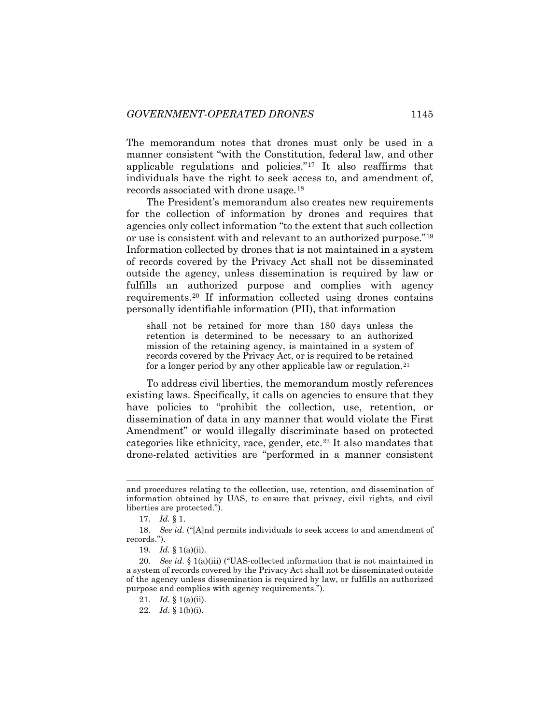The memorandum notes that drones must only be used in a manner consistent "with the Constitution, federal law, and other applicable regulations and policies.["17](#page-7-0) It also reaffirms that individuals have the right to seek access to, and amendment of, records associated with drone usage.[18](#page-7-1)

The President's memorandum also creates new requirements for the collection of information by drones and requires that agencies only collect information "to the extent that such collection or use is consistent with and relevant to an authorized purpose."[19](#page-7-2) Information collected by drones that is not maintained in a system of records covered by the Privacy Act shall not be disseminated outside the agency, unless dissemination is required by law or fulfills an authorized purpose and complies with agency requirements.[20](#page-7-3) If information collected using drones contains personally identifiable information (PII), that information

shall not be retained for more than 180 days unless the retention is determined to be necessary to an authorized mission of the retaining agency, is maintained in a system of records covered by the Privacy Act, or is required to be retained for a longer period by any other applicable law or regulation.<sup>[21](#page-7-4)</sup>

To address civil liberties, the memorandum mostly references existing laws. Specifically, it calls on agencies to ensure that they have policies to "prohibit the collection, use, retention, or dissemination of data in any manner that would violate the First Amendment" or would illegally discriminate based on protected categories like ethnicity, race, gender, etc.[22](#page-7-5) It also mandates that drone-related activities are "performed in a manner consistent

and procedures relating to the collection, use, retention, and dissemination of information obtained by UAS, to ensure that privacy, civil rights, and civil liberties are protected.").

<sup>17</sup>*. Id.* § 1.

<span id="page-7-1"></span><span id="page-7-0"></span><sup>18</sup>*. See id.* ("[A]nd permits individuals to seek access to and amendment of records.").

<sup>19.</sup> *Id.* § 1(a)(ii).

<span id="page-7-5"></span><span id="page-7-4"></span><span id="page-7-3"></span><span id="page-7-2"></span><sup>20</sup>*. See id.* § 1(a)(iii) ("UAS-collected information that is not maintained in a system of records covered by the Privacy Act shall not be disseminated outside of the agency unless dissemination is required by law, or fulfills an authorized purpose and complies with agency requirements.").

<sup>21</sup>*. Id.* § 1(a)(ii).

<sup>22</sup>*. Id.* § 1(b)(i).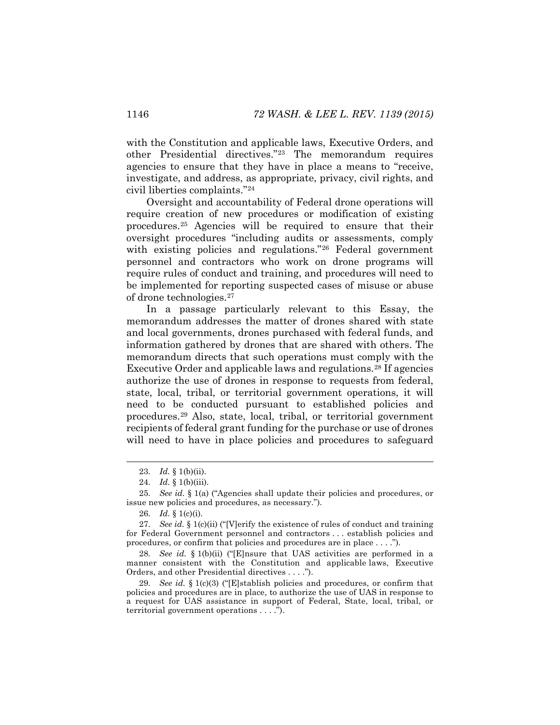with the Constitution and applicable laws, Executive Orders, and other Presidential directives."[23](#page-8-0) The memorandum requires agencies to ensure that they have in place a means to "receive, investigate, and address, as appropriate, privacy, civil rights, and civil liberties complaints."[24](#page-8-1)

Oversight and accountability of Federal drone operations will require creation of new procedures or modification of existing procedures[.25](#page-8-2) Agencies will be required to ensure that their oversight procedures "including audits or assessments, comply with existing policies and regulations."<sup>[26](#page-8-3)</sup> Federal government personnel and contractors who work on drone programs will require rules of conduct and training, and procedures will need to be implemented for reporting suspected cases of misuse or abuse of drone technologies.[27](#page-8-4)

In a passage particularly relevant to this Essay, the memorandum addresses the matter of drones shared with state and local governments, drones purchased with federal funds, and information gathered by drones that are shared with others. The memorandum directs that such operations must comply with the Executive Order and applicable laws and regulations.[28](#page-8-5) If agencies authorize the use of drones in response to requests from federal, state, local, tribal, or territorial government operations, it will need to be conducted pursuant to established policies and procedures.[29](#page-8-6) Also, state, local, tribal, or territorial government recipients of federal grant funding for the purchase or use of drones will need to have in place policies and procedures to safeguard

<span id="page-8-5"></span>28*. See id.* § 1(b)(ii) ("[E]nsure that UAS activities are performed in a manner consistent with the Constitution and applicable laws, Executive Orders, and other Presidential directives . . . .").

<span id="page-8-6"></span>29*. See id.* § 1(c)(3) ("[E]stablish policies and procedures, or confirm that policies and procedures are in place, to authorize the use of UAS in response to a request for UAS assistance in support of Federal, State, local, tribal, or territorial government operations . . . .").

 <sup>23</sup>*. Id.* § 1(b)(ii).

<sup>24</sup>*. Id.* § 1(b)(iii).

<span id="page-8-2"></span><span id="page-8-1"></span><span id="page-8-0"></span><sup>25</sup>*. See id.* § 1(a) ("Agencies shall update their policies and procedures, or issue new policies and procedures, as necessary.").

<sup>26</sup>*. Id.* § 1(c)(i).

<span id="page-8-4"></span><span id="page-8-3"></span><sup>27</sup>*. See id.* § 1(c)(ii) ("[V]erify the existence of rules of conduct and training for Federal Government personnel and contractors . . . establish policies and procedures, or confirm that policies and procedures are in place . . . .").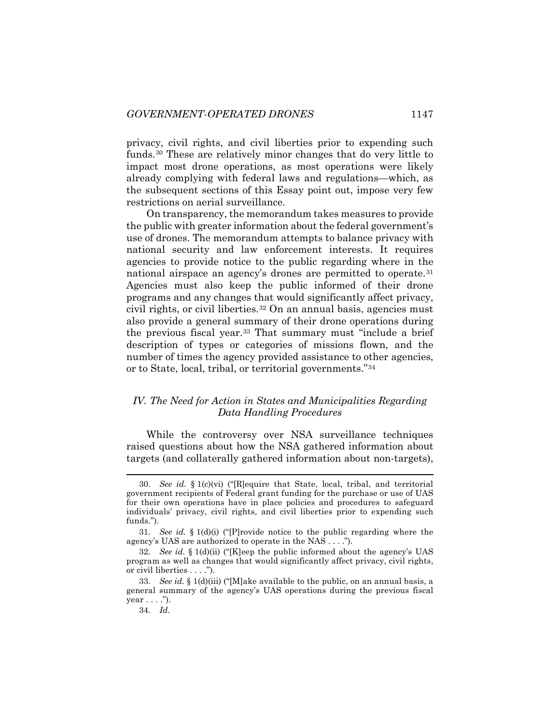privacy, civil rights, and civil liberties prior to expending such funds.[30](#page-9-0) These are relatively minor changes that do very little to impact most drone operations, as most operations were likely already complying with federal laws and regulations—which, as the subsequent sections of this Essay point out, impose very few restrictions on aerial surveillance.

On transparency, the memorandum takes measures to provide the public with greater information about the federal government's use of drones. The memorandum attempts to balance privacy with national security and law enforcement interests. It requires agencies to provide notice to the public regarding where in the national airspace an agency's drones are permitted to operate.<sup>[31](#page-9-1)</sup> Agencies must also keep the public informed of their drone programs and any changes that would significantly affect privacy, civil rights, or civil liberties.<sup>[32](#page-9-2)</sup> On an annual basis, agencies must also provide a general summary of their drone operations during the previous fiscal year.[33](#page-9-3) That summary must "include a brief description of types or categories of missions flown, and the number of times the agency provided assistance to other agencies, or to State, local, tribal, or territorial governments."[34](#page-9-4)

#### *IV. The Need for Action in States and Municipalities Regarding Data Handling Procedures*

While the controversy over NSA surveillance techniques raised questions about how the NSA gathered information about targets (and collaterally gathered information about non-targets),

<span id="page-9-0"></span> <sup>30</sup>*. See id.* § 1(c)(vi) ("[R]equire that State, local, tribal, and territorial government recipients of Federal grant funding for the purchase or use of UAS for their own operations have in place policies and procedures to safeguard individuals' privacy, civil rights, and civil liberties prior to expending such funds.").

<span id="page-9-1"></span><sup>31</sup>*. See id.* § 1(d)(i) ("[P]rovide notice to the public regarding where the agency's UAS are authorized to operate in the NAS . . . .").

<span id="page-9-2"></span><sup>32</sup>*. See id.* § 1(d)(ii) ("[K]eep the public informed about the agency's UAS program as well as changes that would significantly affect privacy, civil rights, or civil liberties . . . .").

<span id="page-9-4"></span><span id="page-9-3"></span><sup>33</sup>*. See id.* § 1(d)(iii) ("[M]ake available to the public, on an annual basis, a general summary of the agency's UAS operations during the previous fiscal year . . . .").

<sup>34</sup>*. Id.*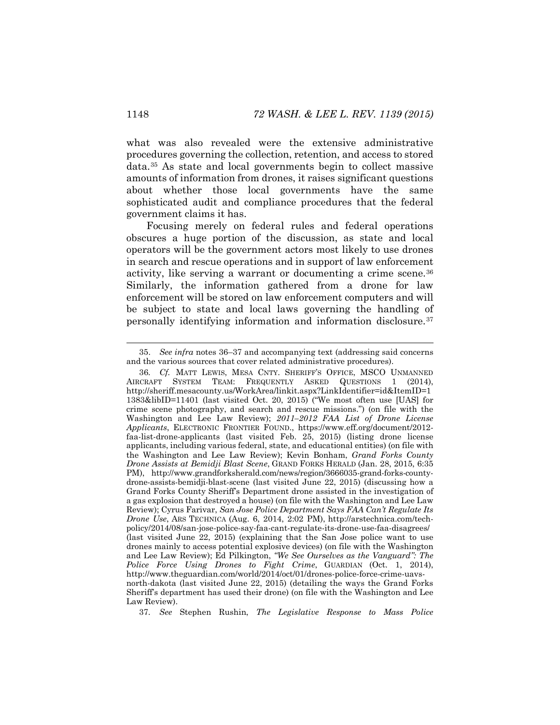what was also revealed were the extensive administrative procedures governing the collection, retention, and access to stored data.[35](#page-10-2) As state and local governments begin to collect massive amounts of information from drones, it raises significant questions about whether those local governments have the same sophisticated audit and compliance procedures that the federal government claims it has.

<span id="page-10-0"></span>Focusing merely on federal rules and federal operations obscures a huge portion of the discussion, as state and local operators will be the government actors most likely to use drones in search and rescue operations and in support of law enforcement activity, like serving a warrant or documenting a crime scene.[36](#page-10-3) Similarly, the information gathered from a drone for law enforcement will be stored on law enforcement computers and will be subject to state and local laws governing the handling of personally identifying information and information disclosure.[37](#page-10-4)

<span id="page-10-4"></span>37*. See* Stephen Rushin, *The Legislative Response to Mass Police* 

<span id="page-10-2"></span><span id="page-10-1"></span> <sup>35.</sup> *See infra* notes [36–](#page-10-0)[37](#page-10-1) and accompanying text (addressing said concerns and the various sources that cover related administrative procedures).

<span id="page-10-3"></span><sup>36</sup>*. Cf.* MATT LEWIS, MESA CNTY. SHERIFF'S OFFICE, MSCO UNMANNED AIRCRAFT SYSTEM TEAM: FREQUENTLY ASKED QUESTIONS 1 (2014), http://sheriff.mesacounty.us/WorkArea/linkit.aspx?LinkIdentifier=id&ItemID=1 1383&libID=11401 (last visited Oct. 20, 2015) ("We most often use [UAS] for crime scene photography, and search and rescue missions.") (on file with the Washington and Lee Law Review); *2011–2012 FAA List of Drone License Applicants*, ELECTRONIC FRONTIER FOUND., https://www.eff.org/document/2012 faa-list-drone-applicants (last visited Feb. 25, 2015) (listing drone license applicants, including various federal, state, and educational entities) (on file with the Washington and Lee Law Review); Kevin Bonham, *Grand Forks County Drone Assists at Bemidji Blast Scene*, GRAND FORKS HERALD (Jan. 28, 2015, 6:35 PM), http://www.grandforksherald.com/news/region/3666035-grand-forks-countydrone-assists-bemidji-blast-scene (last visited June 22, 2015) (discussing how a Grand Forks County Sheriff's Department drone assisted in the investigation of a gas explosion that destroyed a house) (on file with the Washington and Lee Law Review); Cyrus Farivar, *San Jose Police Department Says FAA Can't Regulate Its Drone Use*, ARS TECHNICA (Aug. 6, 2014, 2:02 PM), http://arstechnica.com/techpolicy/2014/08/san-jose-police-say-faa-cant-regulate-its-drone-use-faa-disagrees/ (last visited June 22, 2015) (explaining that the San Jose police want to use drones mainly to access potential explosive devices) (on file with the Washington and Lee Law Review); Ed Pilkington, *"We See Ourselves as the Vanguard": The Police Force Using Drones to Fight Crime*, GUARDIAN (Oct. 1, 2014), http://www.theguardian.com/world/2014/oct/01/drones-police-force-crime-uavsnorth-dakota (last visited June 22, 2015) (detailing the ways the Grand Forks Sheriff's department has used their drone) (on file with the Washington and Lee Law Review).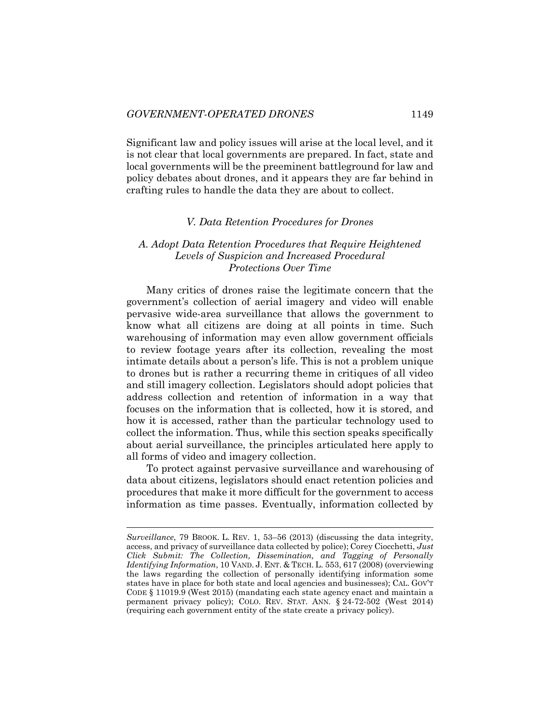Significant law and policy issues will arise at the local level, and it is not clear that local governments are prepared. In fact, state and local governments will be the preeminent battleground for law and policy debates about drones, and it appears they are far behind in crafting rules to handle the data they are about to collect.

#### *V. Data Retention Procedures for Drones*

#### *A. Adopt Data Retention Procedures that Require Heightened Levels of Suspicion and Increased Procedural Protections Over Time*

Many critics of drones raise the legitimate concern that the government's collection of aerial imagery and video will enable pervasive wide-area surveillance that allows the government to know what all citizens are doing at all points in time. Such warehousing of information may even allow government officials to review footage years after its collection, revealing the most intimate details about a person's life. This is not a problem unique to drones but is rather a recurring theme in critiques of all video and still imagery collection. Legislators should adopt policies that address collection and retention of information in a way that focuses on the information that is collected, how it is stored, and how it is accessed, rather than the particular technology used to collect the information. Thus, while this section speaks specifically about aerial surveillance, the principles articulated here apply to all forms of video and imagery collection.

To protect against pervasive surveillance and warehousing of data about citizens, legislators should enact retention policies and procedures that make it more difficult for the government to access information as time passes. Eventually, information collected by

 $\overline{a}$ 

*Surveillance*, 79 BROOK. L. REV. 1, 53–56 (2013) (discussing the data integrity, access, and privacy of surveillance data collected by police); Corey Ciocchetti, *Just Click Submit: The Collection, Dissemination, and Tagging of Personally Identifying Information*, 10 VAND. J. ENT. & TECH. L. 553, 617 (2008) (overviewing the laws regarding the collection of personally identifying information some states have in place for both state and local agencies and businesses); CAL. GOV'T CODE § 11019.9 (West 2015) (mandating each state agency enact and maintain a permanent privacy policy); COLO. REV. STAT. ANN. § 24-72-502 (West 2014) (requiring each government entity of the state create a privacy policy).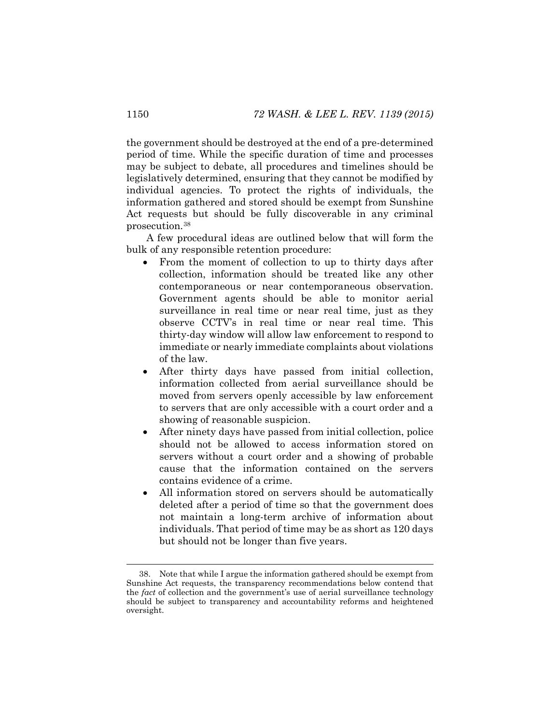the government should be destroyed at the end of a pre-determined period of time. While the specific duration of time and processes may be subject to debate, all procedures and timelines should be legislatively determined, ensuring that they cannot be modified by individual agencies. To protect the rights of individuals, the information gathered and stored should be exempt from Sunshine Act requests but should be fully discoverable in any criminal prosecution.[38](#page-12-0)

A few procedural ideas are outlined below that will form the bulk of any responsible retention procedure:

- From the moment of collection to up to thirty days after collection, information should be treated like any other contemporaneous or near contemporaneous observation. Government agents should be able to monitor aerial surveillance in real time or near real time, just as they observe CCTV's in real time or near real time. This thirty-day window will allow law enforcement to respond to immediate or nearly immediate complaints about violations of the law.
- After thirty days have passed from initial collection, information collected from aerial surveillance should be moved from servers openly accessible by law enforcement to servers that are only accessible with a court order and a showing of reasonable suspicion.
- After ninety days have passed from initial collection, police should not be allowed to access information stored on servers without a court order and a showing of probable cause that the information contained on the servers contains evidence of a crime.
- All information stored on servers should be automatically deleted after a period of time so that the government does not maintain a long-term archive of information about individuals. That period of time may be as short as 120 days but should not be longer than five years.

<span id="page-12-0"></span> <sup>38.</sup> Note that while I argue the information gathered should be exempt from Sunshine Act requests, the transparency recommendations below contend that the *fact* of collection and the government's use of aerial surveillance technology should be subject to transparency and accountability reforms and heightened oversight.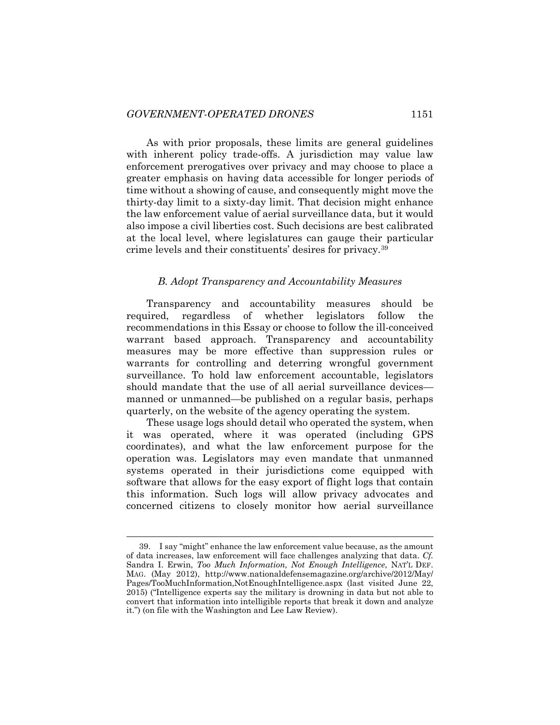As with prior proposals, these limits are general guidelines with inherent policy trade-offs. A jurisdiction may value law enforcement prerogatives over privacy and may choose to place a greater emphasis on having data accessible for longer periods of time without a showing of cause, and consequently might move the thirty-day limit to a sixty-day limit. That decision might enhance the law enforcement value of aerial surveillance data, but it would also impose a civil liberties cost. Such decisions are best calibrated at the local level, where legislatures can gauge their particular crime levels and their constituents' desires for privacy.[39](#page-13-0)

#### *B. Adopt Transparency and Accountability Measures*

Transparency and accountability measures should be required, regardless of whether legislators follow the recommendations in this Essay or choose to follow the ill-conceived warrant based approach. Transparency and accountability measures may be more effective than suppression rules or warrants for controlling and deterring wrongful government surveillance. To hold law enforcement accountable, legislators should mandate that the use of all aerial surveillance devices manned or unmanned—be published on a regular basis, perhaps quarterly, on the website of the agency operating the system.

These usage logs should detail who operated the system, when it was operated, where it was operated (including GPS coordinates), and what the law enforcement purpose for the operation was. Legislators may even mandate that unmanned systems operated in their jurisdictions come equipped with software that allows for the easy export of flight logs that contain this information. Such logs will allow privacy advocates and concerned citizens to closely monitor how aerial surveillance

<span id="page-13-0"></span> <sup>39.</sup> I say "might" enhance the law enforcement value because, as the amount of data increases, law enforcement will face challenges analyzing that data. *Cf.*  Sandra I. Erwin, *Too Much Information, Not Enough Intelligence*, NAT'L DEF. MAG. (May 2012), http://www.nationaldefensemagazine.org/archive/2012/May/ Pages/TooMuchInformation,NotEnoughIntelligence.aspx (last visited June 22, 2015) ("Intelligence experts say the military is drowning in data but not able to convert that information into intelligible reports that break it down and analyze it.") (on file with the Washington and Lee Law Review).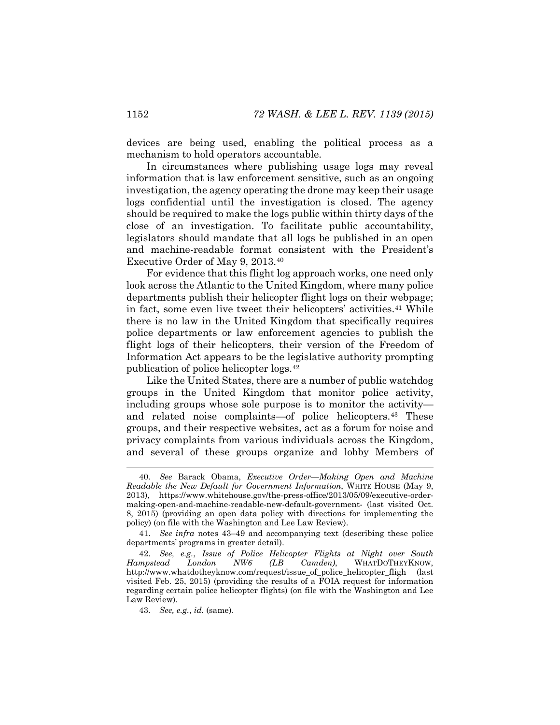devices are being used, enabling the political process as a mechanism to hold operators accountable.

In circumstances where publishing usage logs may reveal information that is law enforcement sensitive, such as an ongoing investigation, the agency operating the drone may keep their usage logs confidential until the investigation is closed. The agency should be required to make the logs public within thirty days of the close of an investigation. To facilitate public accountability, legislators should mandate that all logs be published in an open and machine-readable format consistent with the President's Executive Order of May 9, 2013.[40](#page-14-1)

For evidence that this flight log approach works, one need only look across the Atlantic to the United Kingdom, where many police departments publish their helicopter flight logs on their webpage; in fact, some even live tweet their helicopters' activities.[41](#page-14-2) While there is no law in the United Kingdom that specifically requires police departments or law enforcement agencies to publish the flight logs of their helicopters, their version of the Freedom of Information Act appears to be the legislative authority prompting publication of police helicopter logs.[42](#page-14-3)

<span id="page-14-0"></span>Like the United States, there are a number of public watchdog groups in the United Kingdom that monitor police activity, including groups whose sole purpose is to monitor the activity— and related noise complaints—of police helicopters.<sup>[43](#page-14-4)</sup> These groups, and their respective websites, act as a forum for noise and privacy complaints from various individuals across the Kingdom, and several of these groups organize and lobby Members of

<span id="page-14-1"></span> <sup>40</sup>*. See* Barack Obama, *Executive Order—Making Open and Machine Readable the New Default for Government Information*, WHITE HOUSE (May 9, 2013), https://www.whitehouse.gov/the-press-office/2013/05/09/executive-ordermaking-open-and-machine-readable-new-default-government- (last visited Oct. 8, 2015) (providing an open data policy with directions for implementing the policy) (on file with the Washington and Lee Law Review).

<span id="page-14-2"></span><sup>41.</sup> *See infra* notes [43](#page-14-0)[–49](#page-16-0) and accompanying text (describing these police departments' programs in greater detail).

<span id="page-14-4"></span><span id="page-14-3"></span><sup>42.</sup> *See, e.g.*, *Issue of Police Helicopter Flights at Night over South Hampstead London NW6 (LB Camden)*, WHATDOTHEYKNOW, http://www.whatdotheyknow.com/request/issue\_of\_police\_helicopter\_fligh (last visited Feb. 25, 2015) (providing the results of a FOIA request for information regarding certain police helicopter flights) (on file with the Washington and Lee Law Review).

<sup>43</sup>*. See, e.g.*, *id.* (same).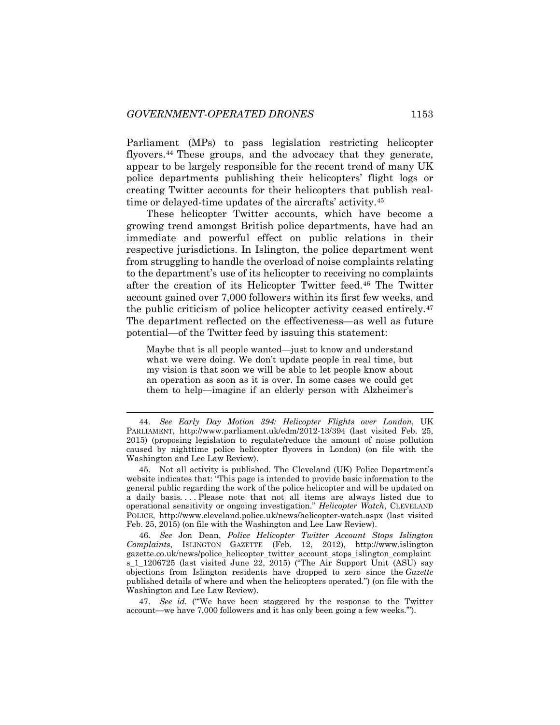Parliament (MPs) to pass legislation restricting helicopter flyovers.[44](#page-15-0) These groups, and the advocacy that they generate, appear to be largely responsible for the recent trend of many UK police departments publishing their helicopters' flight logs or creating Twitter accounts for their helicopters that publish realtime or delayed-time updates of the aircrafts' activity.[45](#page-15-1)

These helicopter Twitter accounts, which have become a growing trend amongst British police departments, have had an immediate and powerful effect on public relations in their respective jurisdictions. In Islington, the police department went from struggling to handle the overload of noise complaints relating to the department's use of its helicopter to receiving no complaints after the creation of its Helicopter Twitter feed.[46](#page-15-2) The Twitter account gained over 7,000 followers within its first few weeks, and the public criticism of police helicopter activity ceased entirely.[47](#page-15-3) The department reflected on the effectiveness—as well as future potential—of the Twitter feed by issuing this statement:

Maybe that is all people wanted—just to know and understand what we were doing. We don't update people in real time, but my vision is that soon we will be able to let people know about an operation as soon as it is over. In some cases we could get them to help—imagine if an elderly person with Alzheimer's

<span id="page-15-2"></span>46*. See* Jon Dean, *Police Helicopter Twitter Account Stops Islington Complaints*, ISLINGTON GAZETTE (Feb. 12, 2012), http://www.islington gazette.co.uk/news/police\_helicopter\_twitter\_account\_stops\_islington\_complaint s\_1\_1206725 (last visited June 22, 2015) ("The Air Support Unit (ASU) say objections from Islington residents have dropped to zero since the *Gazette*  published details of where and when the helicopters operated.") (on file with the Washington and Lee Law Review).

<span id="page-15-3"></span>47*. See id.* ("'We have been staggered by the response to the Twitter account—we have 7,000 followers and it has only been going a few weeks.'").

<span id="page-15-0"></span> <sup>44</sup>*. See Early Day Motion 394: Helicopter Flights over London*, UK PARLIAMENT, http://www.parliament.uk/edm/2012-13/394 (last visited Feb. 25, 2015) (proposing legislation to regulate/reduce the amount of noise pollution caused by nighttime police helicopter flyovers in London) (on file with the Washington and Lee Law Review).

<span id="page-15-1"></span><sup>45.</sup> Not all activity is published. The Cleveland (UK) Police Department's website indicates that: "This page is intended to provide basic information to the general public regarding the work of the police helicopter and will be updated on a daily basis. . . . Please note that not all items are always listed due to operational sensitivity or ongoing investigation." *Helicopter Watch*, CLEVELAND POLICE, http://www.cleveland.police.uk/news/helicopter-watch.aspx (last visited Feb. 25, 2015) (on file with the Washington and Lee Law Review).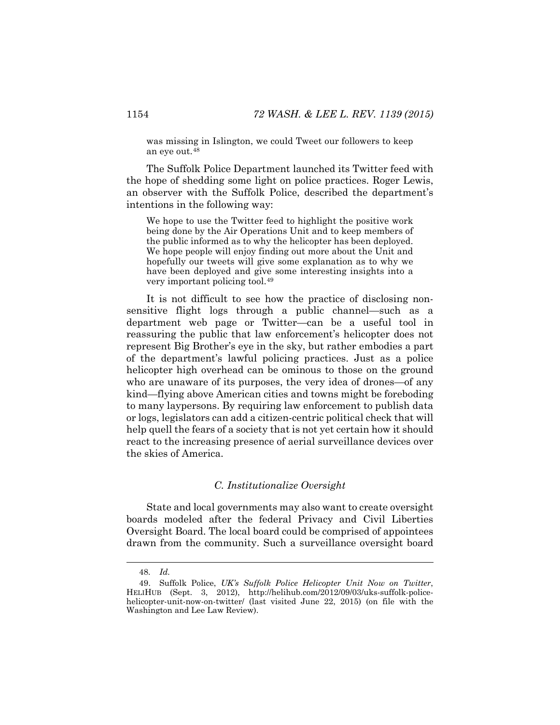was missing in Islington, we could Tweet our followers to keep an eye out.[48](#page-16-1)

The Suffolk Police Department launched its Twitter feed with the hope of shedding some light on police practices. Roger Lewis, an observer with the Suffolk Police, described the department's intentions in the following way:

<span id="page-16-0"></span>We hope to use the Twitter feed to highlight the positive work being done by the Air Operations Unit and to keep members of the public informed as to why the helicopter has been deployed. We hope people will enjoy finding out more about the Unit and hopefully our tweets will give some explanation as to why we have been deployed and give some interesting insights into a very important policing tool.[49](#page-16-2)

It is not difficult to see how the practice of disclosing nonsensitive flight logs through a public channel—such as a department web page or Twitter—can be a useful tool in reassuring the public that law enforcement's helicopter does not represent Big Brother's eye in the sky, but rather embodies a part of the department's lawful policing practices. Just as a police helicopter high overhead can be ominous to those on the ground who are unaware of its purposes, the very idea of drones—of any kind—flying above American cities and towns might be foreboding to many laypersons. By requiring law enforcement to publish data or logs, legislators can add a citizen-centric political check that will help quell the fears of a society that is not yet certain how it should react to the increasing presence of aerial surveillance devices over the skies of America.

#### *C. Institutionalize Oversight*

State and local governments may also want to create oversight boards modeled after the federal Privacy and Civil Liberties Oversight Board. The local board could be comprised of appointees drawn from the community. Such a surveillance oversight board

 <sup>48</sup>*. Id.*

<span id="page-16-2"></span><span id="page-16-1"></span><sup>49.</sup> Suffolk Police, *UK's Suffolk Police Helicopter Unit Now on Twitter*, HELIHUB (Sept. 3, 2012), http://helihub.com/2012/09/03/uks-suffolk-policehelicopter-unit-now-on-twitter/ (last visited June 22, 2015) (on file with the Washington and Lee Law Review).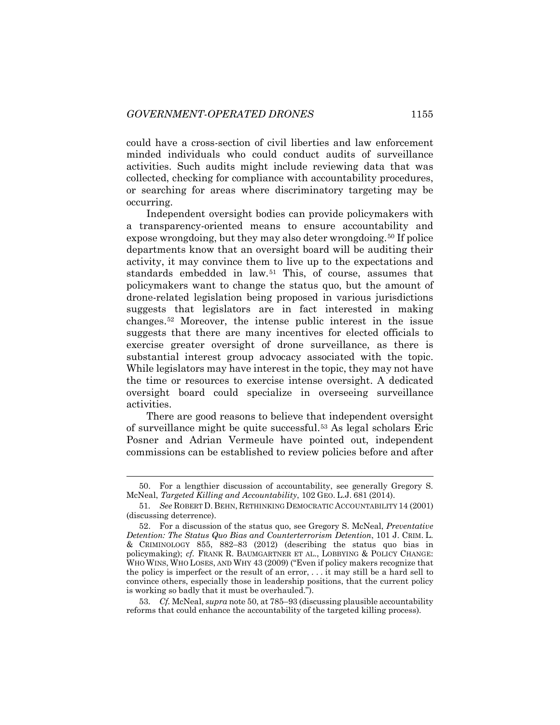could have a cross-section of civil liberties and law enforcement minded individuals who could conduct audits of surveillance activities. Such audits might include reviewing data that was collected, checking for compliance with accountability procedures, or searching for areas where discriminatory targeting may be occurring.

<span id="page-17-0"></span>Independent oversight bodies can provide policymakers with a transparency-oriented means to ensure accountability and expose wrongdoing, but they may also deter wrongdoing.<sup>[50](#page-17-1)</sup> If police departments know that an oversight board will be auditing their activity, it may convince them to live up to the expectations and standards embedded in law.[51](#page-17-2) This, of course, assumes that policymakers want to change the status quo, but the amount of drone-related legislation being proposed in various jurisdictions suggests that legislators are in fact interested in making changes.[52](#page-17-3) Moreover, the intense public interest in the issue suggests that there are many incentives for elected officials to exercise greater oversight of drone surveillance, as there is substantial interest group advocacy associated with the topic. While legislators may have interest in the topic, they may not have the time or resources to exercise intense oversight. A dedicated oversight board could specialize in overseeing surveillance activities.

There are good reasons to believe that independent oversight of surveillance might be quite successful.[53](#page-17-4) As legal scholars Eric Posner and Adrian Vermeule have pointed out, independent commissions can be established to review policies before and after

<span id="page-17-4"></span>53*. Cf.* McNeal, *supra* note [50,](#page-17-0) at 785–93 (discussing plausible accountability reforms that could enhance the accountability of the targeted killing process).

<span id="page-17-1"></span> <sup>50.</sup> For a lengthier discussion of accountability, see generally Gregory S. McNeal, *Targeted Killing and Accountability*, 102 GEO. L.J. 681 (2014).

<span id="page-17-2"></span><sup>51</sup>*. See* ROBERT D. BEHN, RETHINKING DEMOCRATIC ACCOUNTABILITY 14 (2001) (discussing deterrence).

<span id="page-17-3"></span><sup>52.</sup> For a discussion of the status quo, see Gregory S. McNeal, *Preventative Detention: The Status Quo Bias and Counterterrorism Detention*, 101 J. CRIM. L. & CRIMINOLOGY 855, 882–83 (2012) (describing the status quo bias in policymaking); *cf.* FRANK R. BAUMGARTNER ET AL., LOBBYING & POLICY CHANGE: WHO WINS, WHO LOSES, AND WHY 43 (2009) ("Even if policy makers recognize that the policy is imperfect or the result of an error, . . . it may still be a hard sell to convince others, especially those in leadership positions, that the current policy is working so badly that it must be overhauled.").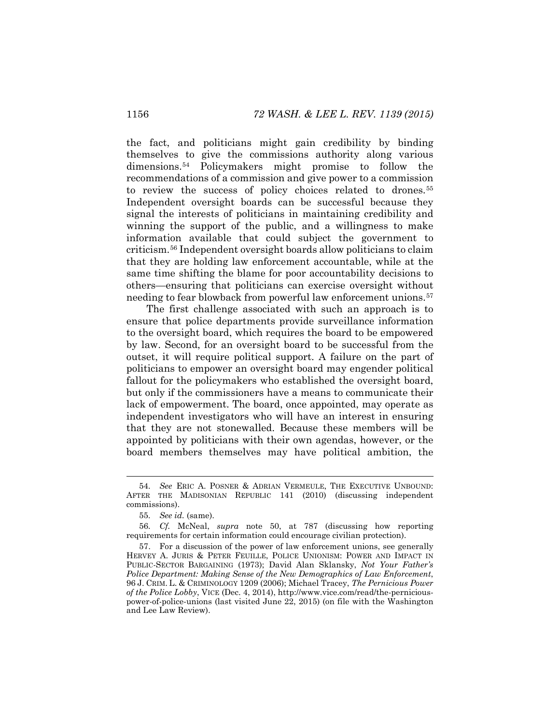the fact, and politicians might gain credibility by binding themselves to give the commissions authority along various dimensions[.54](#page-18-0) Policymakers might promise to follow the recommendations of a commission and give power to a commission to review the success of policy choices related to drones.<sup>[55](#page-18-1)</sup> Independent oversight boards can be successful because they signal the interests of politicians in maintaining credibility and winning the support of the public, and a willingness to make information available that could subject the government to criticism.[56](#page-18-2) Independent oversight boards allow politicians to claim that they are holding law enforcement accountable, while at the same time shifting the blame for poor accountability decisions to others—ensuring that politicians can exercise oversight without needing to fear blowback from powerful law enforcement unions.<sup>[57](#page-18-3)</sup>

The first challenge associated with such an approach is to ensure that police departments provide surveillance information to the oversight board, which requires the board to be empowered by law. Second, for an oversight board to be successful from the outset, it will require political support. A failure on the part of politicians to empower an oversight board may engender political fallout for the policymakers who established the oversight board, but only if the commissioners have a means to communicate their lack of empowerment. The board, once appointed, may operate as independent investigators who will have an interest in ensuring that they are not stonewalled. Because these members will be appointed by politicians with their own agendas, however, or the board members themselves may have political ambition, the

<span id="page-18-0"></span> <sup>54</sup>*. See* ERIC A. POSNER & ADRIAN VERMEULE, THE EXECUTIVE UNBOUND: AFTER THE MADISONIAN REPUBLIC 141 (2010) (discussing independent commissions).

<sup>55</sup>*. See id.* (same).

<span id="page-18-2"></span><span id="page-18-1"></span><sup>56</sup>*. Cf.* McNeal, *supra* note 50, at 787 (discussing how reporting requirements for certain information could encourage civilian protection).

<span id="page-18-3"></span><sup>57.</sup> For a discussion of the power of law enforcement unions, see generally HERVEY A. JURIS & PETER FEUILLE, POLICE UNIONISM: POWER AND IMPACT IN PUBLIC-SECTOR BARGAINING (1973); David Alan Sklansky, *Not Your Father's Police Department: Making Sense of the New Demographics of Law Enforcement*, 96 J. CRIM. L. & CRIMINOLOGY 1209 (2006); Michael Tracey, *The Pernicious Power of the Police Lobby*, VICE (Dec. 4, 2014), http://www.vice.com/read/the-perniciouspower-of-police-unions (last visited June 22, 2015) (on file with the Washington and Lee Law Review).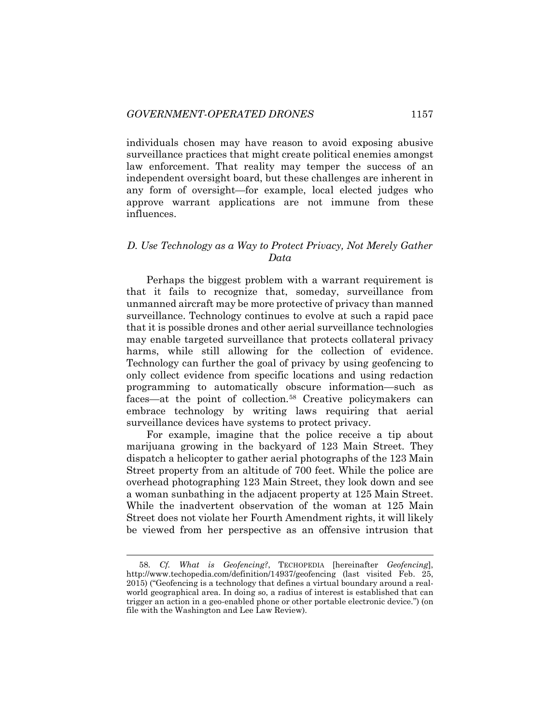individuals chosen may have reason to avoid exposing abusive surveillance practices that might create political enemies amongst law enforcement. That reality may temper the success of an independent oversight board, but these challenges are inherent in any form of oversight—for example, local elected judges who approve warrant applications are not immune from these influences.

## *D. Use Technology as a Way to Protect Privacy, Not Merely Gather Data*

Perhaps the biggest problem with a warrant requirement is that it fails to recognize that, someday, surveillance from unmanned aircraft may be more protective of privacy than manned surveillance. Technology continues to evolve at such a rapid pace that it is possible drones and other aerial surveillance technologies may enable targeted surveillance that protects collateral privacy harms, while still allowing for the collection of evidence. Technology can further the goal of privacy by using geofencing to only collect evidence from specific locations and using redaction programming to automatically obscure information—such as faces—at the point of collection.[58](#page-19-0) Creative policymakers can embrace technology by writing laws requiring that aerial surveillance devices have systems to protect privacy.

For example, imagine that the police receive a tip about marijuana growing in the backyard of 123 Main Street. They dispatch a helicopter to gather aerial photographs of the 123 Main Street property from an altitude of 700 feet. While the police are overhead photographing 123 Main Street, they look down and see a woman sunbathing in the adjacent property at 125 Main Street. While the inadvertent observation of the woman at 125 Main Street does not violate her Fourth Amendment rights, it will likely be viewed from her perspective as an offensive intrusion that

<span id="page-19-0"></span> <sup>58</sup>*. Cf. What is Geofencing?*, TECHOPEDIA [hereinafter *Geofencing*], http://www.techopedia.com/definition/14937/geofencing (last visited Feb. 25, 2015) ("Geofencing is a technology that defines a virtual boundary around a realworld geographical area. In doing so, a radius of interest is established that can trigger an action in a geo-enabled phone or other portable electronic device.") (on file with the Washington and Lee Law Review).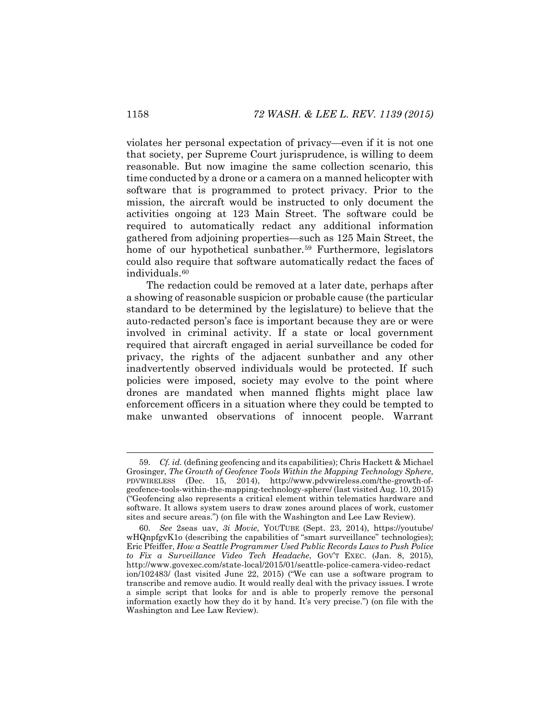violates her personal expectation of privacy—even if it is not one that society, per Supreme Court jurisprudence, is willing to deem reasonable. But now imagine the same collection scenario, this time conducted by a drone or a camera on a manned helicopter with software that is programmed to protect privacy. Prior to the mission, the aircraft would be instructed to only document the activities ongoing at 123 Main Street. The software could be required to automatically redact any additional information gathered from adjoining properties—such as 125 Main Street, the home of our hypothetical sunbather.<sup>[59](#page-20-0)</sup> Furthermore, legislators could also require that software automatically redact the faces of individuals.<sup>[60](#page-20-1)</sup>

The redaction could be removed at a later date, perhaps after a showing of reasonable suspicion or probable cause (the particular standard to be determined by the legislature) to believe that the auto-redacted person's face is important because they are or were involved in criminal activity. If a state or local government required that aircraft engaged in aerial surveillance be coded for privacy, the rights of the adjacent sunbather and any other inadvertently observed individuals would be protected. If such policies were imposed, society may evolve to the point where drones are mandated when manned flights might place law enforcement officers in a situation where they could be tempted to make unwanted observations of innocent people. Warrant

<span id="page-20-0"></span> <sup>59</sup>*. Cf. id.* (defining geofencing and its capabilities); Chris Hackett & Michael Grosinger, *The Growth of Geofence Tools Within the Mapping Technology Sphere*, PDVWIRELESS (Dec. 15, 2014), http://www.pdvwireless.com/the-growth-ofgeofence-tools-within-the-mapping-technology-sphere/ (last visited Aug. 10, 2015) ("Geofencing also represents a critical element within telematics hardware and software. It allows system users to draw zones around places of work, customer sites and secure areas.") (on file with the Washington and Lee Law Review).

<span id="page-20-1"></span><sup>60</sup>*. See* 2seas uav, *3i Movie*, YOUTUBE (Sept. 23, 2014), https://youtube/ wHQnpfgvK1o (describing the capabilities of "smart surveillance" technologies); Eric Pfeiffer, *How a Seattle Programmer Used Public Records Laws to Push Police to Fix a Surveillance Video Tech Headache*, GOV'T EXEC. (Jan. 8, 2015), http://www.govexec.com/state-local/2015/01/seattle-police-camera-video-redact ion/102483/ (last visited June 22, 2015) ("We can use a software program to transcribe and remove audio. It would really deal with the privacy issues. I wrote a simple script that looks for and is able to properly remove the personal information exactly how they do it by hand. It's very precise.") (on file with the Washington and Lee Law Review).